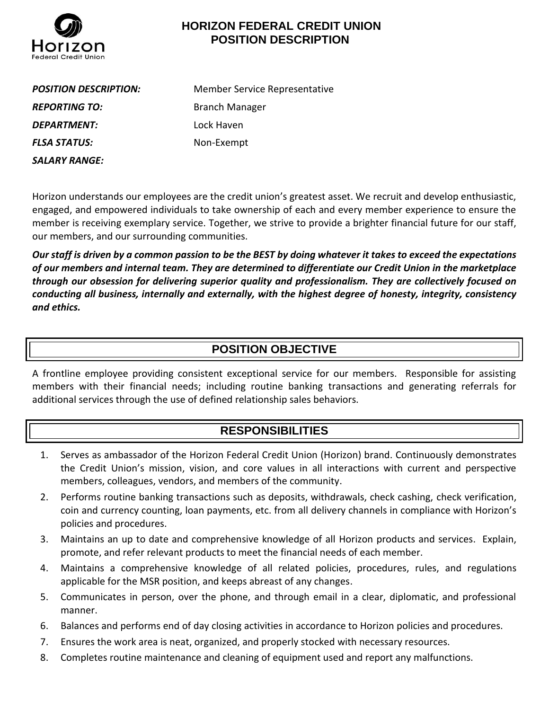

## **HORIZON FEDERAL CREDIT UNION POSITION DESCRIPTION**

**REPORTING TO:** Branch Manager *DEPARTMENT:* Lock Haven *FLSA STATUS:* Non-Exempt *SALARY RANGE:*

*POSITION DESCRIPTION:* Member Service Representative

Horizon understands our employees are the credit union's greatest asset. We recruit and develop enthusiastic, engaged, and empowered individuals to take ownership of each and every member experience to ensure the member is receiving exemplary service. Together, we strive to provide a brighter financial future for our staff, our members, and our surrounding communities.

*Our staff is driven by a common passion to be the BEST by doing whatever it takes to exceed the expectations of our members and internal team. They are determined to differentiate our Credit Union in the marketplace through our obsession for delivering superior quality and professionalism. They are collectively focused on conducting all business, internally and externally, with the highest degree of honesty, integrity, consistency and ethics.*

## **POSITION OBJECTIVE**

A frontline employee providing consistent exceptional service for our members. Responsible for assisting members with their financial needs; including routine banking transactions and generating referrals for additional services through the use of defined relationship sales behaviors.

# **RESPONSIBILITIES**

- 1. Serves as ambassador of the Horizon Federal Credit Union (Horizon) brand. Continuously demonstrates the Credit Union's mission, vision, and core values in all interactions with current and perspective members, colleagues, vendors, and members of the community.
- 2. Performs routine banking transactions such as deposits, withdrawals, check cashing, check verification, coin and currency counting, loan payments, etc. from all delivery channels in compliance with Horizon's policies and procedures.
- 3. Maintains an up to date and comprehensive knowledge of all Horizon products and services. Explain, promote, and refer relevant products to meet the financial needs of each member.
- 4. Maintains a comprehensive knowledge of all related policies, procedures, rules, and regulations applicable for the MSR position, and keeps abreast of any changes.
- 5. Communicates in person, over the phone, and through email in a clear, diplomatic, and professional manner.
- 6. Balances and performs end of day closing activities in accordance to Horizon policies and procedures.
- 7. Ensures the work area is neat, organized, and properly stocked with necessary resources.
- 8. Completes routine maintenance and cleaning of equipment used and report any malfunctions.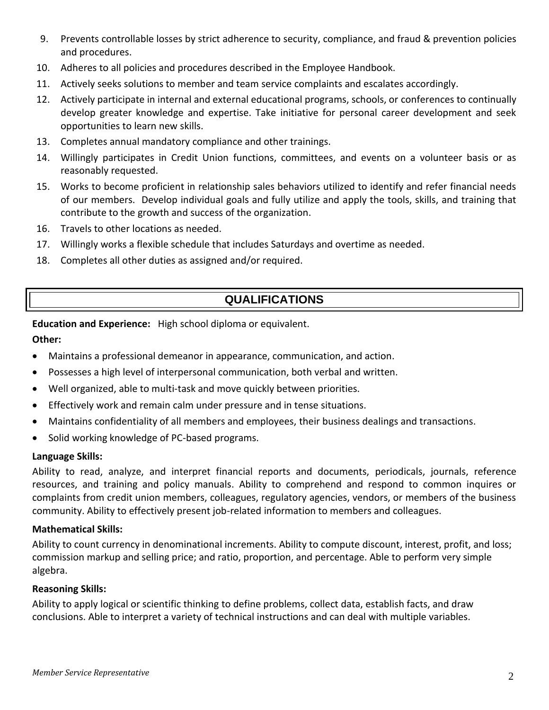- 9. Prevents controllable losses by strict adherence to security, compliance, and fraud & prevention policies and procedures.
- 10. Adheres to all policies and procedures described in the Employee Handbook.
- 11. Actively seeks solutions to member and team service complaints and escalates accordingly.
- 12. Actively participate in internal and external educational programs, schools, or conferences to continually develop greater knowledge and expertise. Take initiative for personal career development and seek opportunities to learn new skills.
- 13. Completes annual mandatory compliance and other trainings.
- 14. Willingly participates in Credit Union functions, committees, and events on a volunteer basis or as reasonably requested.
- 15. Works to become proficient in relationship sales behaviors utilized to identify and refer financial needs of our members. Develop individual goals and fully utilize and apply the tools, skills, and training that contribute to the growth and success of the organization.
- 16. Travels to other locations as needed.
- 17. Willingly works a flexible schedule that includes Saturdays and overtime as needed.
- 18. Completes all other duties as assigned and/or required.

# **QUALIFICATIONS**

### **Education and Experience:** High school diploma or equivalent.

### **Other:**

- Maintains a professional demeanor in appearance, communication, and action.
- Possesses a high level of interpersonal communication, both verbal and written.
- Well organized, able to multi-task and move quickly between priorities.
- Effectively work and remain calm under pressure and in tense situations.
- Maintains confidentiality of all members and employees, their business dealings and transactions.
- Solid working knowledge of PC-based programs.

### **Language Skills:**

Ability to read, analyze, and interpret financial reports and documents, periodicals, journals, reference resources, and training and policy manuals. Ability to comprehend and respond to common inquires or complaints from credit union members, colleagues, regulatory agencies, vendors, or members of the business community. Ability to effectively present job-related information to members and colleagues.

### **Mathematical Skills:**

Ability to count currency in denominational increments. Ability to compute discount, interest, profit, and loss; commission markup and selling price; and ratio, proportion, and percentage. Able to perform very simple algebra.

#### **Reasoning Skills:**

Ability to apply logical or scientific thinking to define problems, collect data, establish facts, and draw conclusions. Able to interpret a variety of technical instructions and can deal with multiple variables.